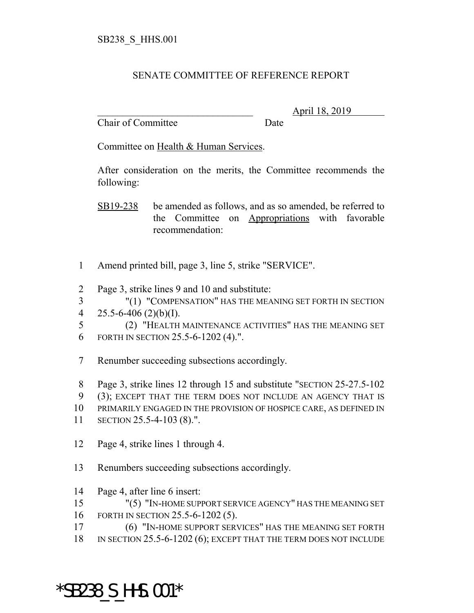## SENATE COMMITTEE OF REFERENCE REPORT

Chair of Committee Date

\_\_\_\_\_\_\_\_\_\_\_\_\_\_\_\_\_\_\_\_\_\_\_\_\_\_\_\_\_\_\_ April 18, 2019

Committee on Health & Human Services.

After consideration on the merits, the Committee recommends the following:

SB19-238 be amended as follows, and as so amended, be referred to the Committee on Appropriations with favorable recommendation:

- 1 Amend printed bill, page 3, line 5, strike "SERVICE".
- 2 Page 3, strike lines 9 and 10 and substitute:

3 "(1) "COMPENSATION" HAS THE MEANING SET FORTH IN SECTION 4 25.5-6-406 (2)(b)(I).

5 (2) "HEALTH MAINTENANCE ACTIVITIES" HAS THE MEANING SET 6 FORTH IN SECTION 25.5-6-1202 (4).".

7 Renumber succeeding subsections accordingly.

8 Page 3, strike lines 12 through 15 and substitute "SECTION 25-27.5-102

- 9 (3); EXCEPT THAT THE TERM DOES NOT INCLUDE AN AGENCY THAT IS
- 10 PRIMARILY ENGAGED IN THE PROVISION OF HOSPICE CARE, AS DEFINED IN
- 11 SECTION 25.5-4-103 (8).".
- 12 Page 4, strike lines 1 through 4.
- 13 Renumbers succeeding subsections accordingly.
- 14 Page 4, after line 6 insert:

15 "(5) "IN-HOME SUPPORT SERVICE AGENCY" HAS THE MEANING SET 16 FORTH IN SECTION 25.5-6-1202 (5).

- 17 (6) "IN-HOME SUPPORT SERVICES" HAS THE MEANING SET FORTH
- 18 IN SECTION 25.5-6-1202 (6); EXCEPT THAT THE TERM DOES NOT INCLUDE

\*SB238\_S\_HHS.001\*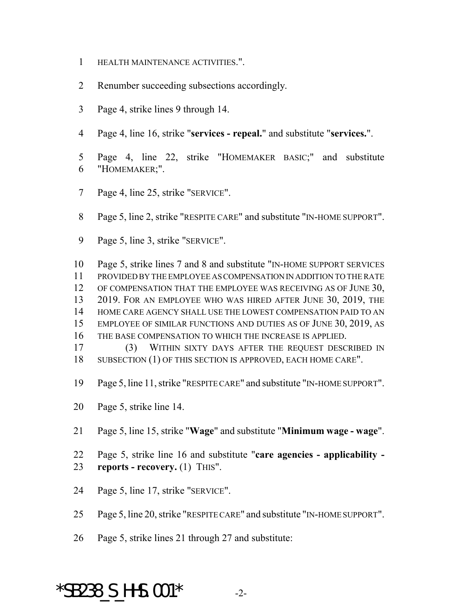- HEALTH MAINTENANCE ACTIVITIES.".
- Renumber succeeding subsections accordingly.
- Page 4, strike lines 9 through 14.
- Page 4, line 16, strike "**services repeal.**" and substitute "**services.**".
- Page 4, line 22, strike "HOMEMAKER BASIC;" and substitute "HOMEMAKER;".
- Page 4, line 25, strike "SERVICE".
- Page 5, line 2, strike "RESPITE CARE" and substitute "IN-HOME SUPPORT".
- Page 5, line 3, strike "SERVICE".
- Page 5, strike lines 7 and 8 and substitute "IN-HOME SUPPORT SERVICES PROVIDED BY THE EMPLOYEE AS COMPENSATION IN ADDITION TO THE RATE OF COMPENSATION THAT THE EMPLOYEE WAS RECEIVING AS OF JUNE 30, 2019. FOR AN EMPLOYEE WHO WAS HIRED AFTER JUNE 30, 2019, THE HOME CARE AGENCY SHALL USE THE LOWEST COMPENSATION PAID TO AN EMPLOYEE OF SIMILAR FUNCTIONS AND DUTIES AS OF JUNE 30, 2019, AS THE BASE COMPENSATION TO WHICH THE INCREASE IS APPLIED. (3) WITHIN SIXTY DAYS AFTER THE REQUEST DESCRIBED IN
- 18 SUBSECTION (1) OF THIS SECTION IS APPROVED, EACH HOME CARE".
- Page 5, line 11, strike "RESPITE CARE" and substitute "IN-HOME SUPPORT".
- Page 5, strike line 14.
- Page 5, line 15, strike "**Wage**" and substitute "**Minimum wage wage**".
- Page 5, strike line 16 and substitute "**care agencies applicability - reports - recovery.** (1) THIS".
- Page 5, line 17, strike "SERVICE".
- Page 5, line 20, strike "RESPITE CARE" and substitute "IN-HOME SUPPORT".
- Page 5, strike lines 21 through 27 and substitute:

## $*$ SB238 S HHS.001 $*$  -2-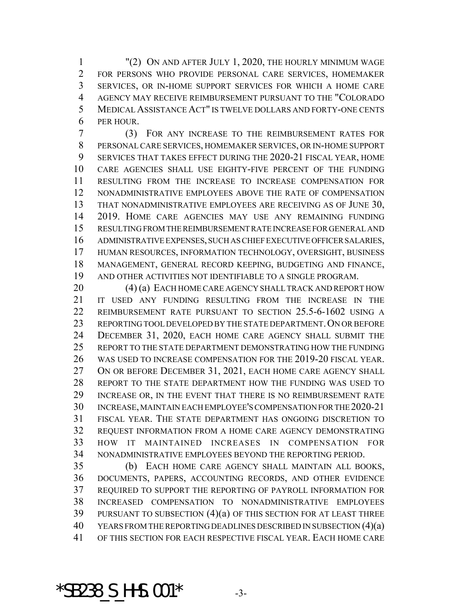"(2) ON AND AFTER JULY 1, 2020, THE HOURLY MINIMUM WAGE FOR PERSONS WHO PROVIDE PERSONAL CARE SERVICES, HOMEMAKER SERVICES, OR IN-HOME SUPPORT SERVICES FOR WHICH A HOME CARE AGENCY MAY RECEIVE REIMBURSEMENT PURSUANT TO THE "COLORADO MEDICAL ASSISTANCE ACT" IS TWELVE DOLLARS AND FORTY-ONE CENTS PER HOUR.

 (3) FOR ANY INCREASE TO THE REIMBURSEMENT RATES FOR PERSONAL CARE SERVICES, HOMEMAKER SERVICES, OR IN-HOME SUPPORT SERVICES THAT TAKES EFFECT DURING THE 2020-21 FISCAL YEAR, HOME CARE AGENCIES SHALL USE EIGHTY-FIVE PERCENT OF THE FUNDING RESULTING FROM THE INCREASE TO INCREASE COMPENSATION FOR NONADMINISTRATIVE EMPLOYEES ABOVE THE RATE OF COMPENSATION THAT NONADMINISTRATIVE EMPLOYEES ARE RECEIVING AS OF JUNE 30, 2019. HOME CARE AGENCIES MAY USE ANY REMAINING FUNDING RESULTING FROM THE REIMBURSEMENT RATE INCREASE FOR GENERAL AND ADMINISTRATIVE EXPENSES, SUCH AS CHIEF EXECUTIVE OFFICER SALARIES, HUMAN RESOURCES, INFORMATION TECHNOLOGY, OVERSIGHT, BUSINESS MANAGEMENT, GENERAL RECORD KEEPING, BUDGETING AND FINANCE, AND OTHER ACTIVITIES NOT IDENTIFIABLE TO A SINGLE PROGRAM.

20 (4) (a) EACH HOME CARE AGENCY SHALL TRACK AND REPORT HOW IT USED ANY FUNDING RESULTING FROM THE INCREASE IN THE REIMBURSEMENT RATE PURSUANT TO SECTION 25.5-6-1602 USING A 23 REPORTING TOOL DEVELOPED BY THE STATE DEPARTMENT. ON OR BEFORE DECEMBER 31, 2020, EACH HOME CARE AGENCY SHALL SUBMIT THE REPORT TO THE STATE DEPARTMENT DEMONSTRATING HOW THE FUNDING WAS USED TO INCREASE COMPENSATION FOR THE 2019-20 FISCAL YEAR. 27 ON OR BEFORE DECEMBER 31, 2021, EACH HOME CARE AGENCY SHALL REPORT TO THE STATE DEPARTMENT HOW THE FUNDING WAS USED TO INCREASE OR, IN THE EVENT THAT THERE IS NO REIMBURSEMENT RATE INCREASE, MAINTAIN EACH EMPLOYEE'S COMPENSATION FOR THE 2020-21 FISCAL YEAR. THE STATE DEPARTMENT HAS ONGOING DISCRETION TO REQUEST INFORMATION FROM A HOME CARE AGENCY DEMONSTRATING HOW IT MAINTAINED INCREASES IN COMPENSATION FOR NONADMINISTRATIVE EMPLOYEES BEYOND THE REPORTING PERIOD.

 (b) EACH HOME CARE AGENCY SHALL MAINTAIN ALL BOOKS, DOCUMENTS, PAPERS, ACCOUNTING RECORDS, AND OTHER EVIDENCE REQUIRED TO SUPPORT THE REPORTING OF PAYROLL INFORMATION FOR INCREASED COMPENSATION TO NONADMINISTRATIVE EMPLOYEES PURSUANT TO SUBSECTION (4)(a) OF THIS SECTION FOR AT LEAST THREE YEARS FROM THE REPORTING DEADLINES DESCRIBED IN SUBSECTION (4)(a) OF THIS SECTION FOR EACH RESPECTIVE FISCAL YEAR. EACH HOME CARE

 $*$ SB238 S HHS.001 $*$  -3-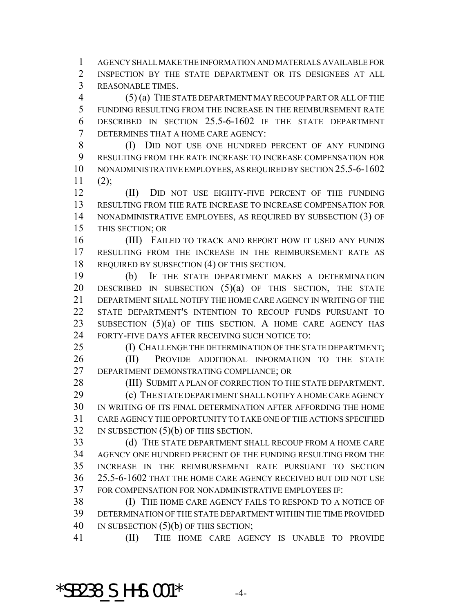AGENCY SHALL MAKE THE INFORMATION AND MATERIALS AVAILABLE FOR INSPECTION BY THE STATE DEPARTMENT OR ITS DESIGNEES AT ALL REASONABLE TIMES.

 (5) (a) THE STATE DEPARTMENT MAY RECOUP PART OR ALL OF THE FUNDING RESULTING FROM THE INCREASE IN THE REIMBURSEMENT RATE DESCRIBED IN SECTION 25.5-6-1602 IF THE STATE DEPARTMENT DETERMINES THAT A HOME CARE AGENCY:

 (I) DID NOT USE ONE HUNDRED PERCENT OF ANY FUNDING RESULTING FROM THE RATE INCREASE TO INCREASE COMPENSATION FOR NONADMINISTRATIVE EMPLOYEES, AS REQUIRED BY SECTION 25.5-6-1602 (2);

 (II) DID NOT USE EIGHTY-FIVE PERCENT OF THE FUNDING RESULTING FROM THE RATE INCREASE TO INCREASE COMPENSATION FOR NONADMINISTRATIVE EMPLOYEES, AS REQUIRED BY SUBSECTION (3) OF THIS SECTION; OR

16 (III) FAILED TO TRACK AND REPORT HOW IT USED ANY FUNDS RESULTING FROM THE INCREASE IN THE REIMBURSEMENT RATE AS REQUIRED BY SUBSECTION (4) OF THIS SECTION.

 (b) IF THE STATE DEPARTMENT MAKES A DETERMINATION 20 DESCRIBED IN SUBSECTION (5)(a) OF THIS SECTION, THE STATE DEPARTMENT SHALL NOTIFY THE HOME CARE AGENCY IN WRITING OF THE STATE DEPARTMENT'S INTENTION TO RECOUP FUNDS PURSUANT TO 23 SUBSECTION (5)(a) OF THIS SECTION. A HOME CARE AGENCY HAS FORTY-FIVE DAYS AFTER RECEIVING SUCH NOTICE TO:

 (I) CHALLENGE THE DETERMINATION OF THE STATE DEPARTMENT; 26 (II) PROVIDE ADDITIONAL INFORMATION TO THE STATE DEPARTMENT DEMONSTRATING COMPLIANCE; OR

28 (III) SUBMIT A PLAN OF CORRECTION TO THE STATE DEPARTMENT.

**(c)** THE STATE DEPARTMENT SHALL NOTIFY A HOME CARE AGENCY IN WRITING OF ITS FINAL DETERMINATION AFTER AFFORDING THE HOME CARE AGENCY THE OPPORTUNITY TO TAKE ONE OF THE ACTIONS SPECIFIED 32 IN SUBSECTION (5)(b) OF THIS SECTION.

 (d) THE STATE DEPARTMENT SHALL RECOUP FROM A HOME CARE AGENCY ONE HUNDRED PERCENT OF THE FUNDING RESULTING FROM THE INCREASE IN THE REIMBURSEMENT RATE PURSUANT TO SECTION 25.5-6-1602 THAT THE HOME CARE AGENCY RECEIVED BUT DID NOT USE FOR COMPENSATION FOR NONADMINISTRATIVE EMPLOYEES IF:

 (I) THE HOME CARE AGENCY FAILS TO RESPOND TO A NOTICE OF DETERMINATION OF THE STATE DEPARTMENT WITHIN THE TIME PROVIDED 40 IN SUBSECTION (5)(b) OF THIS SECTION;

(II) THE HOME CARE AGENCY IS UNABLE TO PROVIDE

 $*$ SB238 S HHS.001 $*$  -4-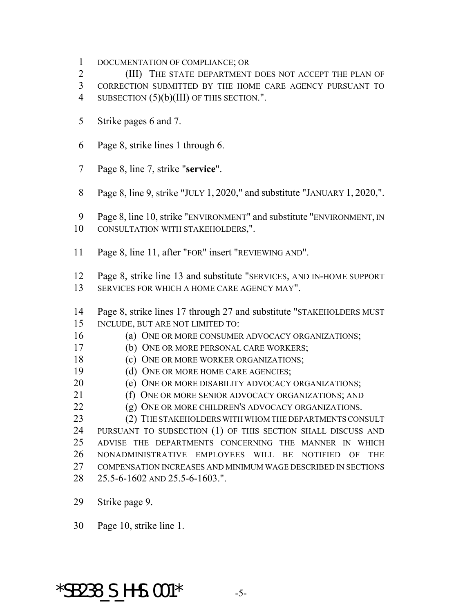DOCUMENTATION OF COMPLIANCE; OR

 (III) THE STATE DEPARTMENT DOES NOT ACCEPT THE PLAN OF CORRECTION SUBMITTED BY THE HOME CARE AGENCY PURSUANT TO 4 SUBSECTION (5)(b)(III) OF THIS SECTION.".

- Strike pages 6 and 7.
- Page 8, strike lines 1 through 6.
- Page 8, line 7, strike "**service**".
- Page 8, line 9, strike "JULY 1, 2020," and substitute "JANUARY 1, 2020,".
- Page 8, line 10, strike "ENVIRONMENT" and substitute "ENVIRONMENT, IN CONSULTATION WITH STAKEHOLDERS,".
- Page 8, line 11, after "FOR" insert "REVIEWING AND".
- Page 8, strike line 13 and substitute "SERVICES, AND IN-HOME SUPPORT SERVICES FOR WHICH A HOME CARE AGENCY MAY".
- Page 8, strike lines 17 through 27 and substitute "STAKEHOLDERS MUST INCLUDE, BUT ARE NOT LIMITED TO:
- 16 (a) ONE OR MORE CONSUMER ADVOCACY ORGANIZATIONS;
- (b) ONE OR MORE PERSONAL CARE WORKERS;
- **(c)** ONE OR MORE WORKER ORGANIZATIONS;
- 19 (d) ONE OR MORE HOME CARE AGENCIES;
- **(e) ONE OR MORE DISABILITY ADVOCACY ORGANIZATIONS;**
- 21 (f) ONE OR MORE SENIOR ADVOCACY ORGANIZATIONS; AND
- 22 (g) ONE OR MORE CHILDREN'S ADVOCACY ORGANIZATIONS.

23 (2) THE STAKEHOLDERS WITH WHOM THE DEPARTMENTS CONSULT PURSUANT TO SUBSECTION (1) OF THIS SECTION SHALL DISCUSS AND ADVISE THE DEPARTMENTS CONCERNING THE MANNER IN WHICH NONADMINISTRATIVE EMPLOYEES WILL BE NOTIFIED OF THE COMPENSATION INCREASES AND MINIMUM WAGE DESCRIBED IN SECTIONS 25.5-6-1602 AND 25.5-6-1603.".

Strike page 9.

Page 10, strike line 1.

## $*$ SB238 S HHS.001 $*$  -5-